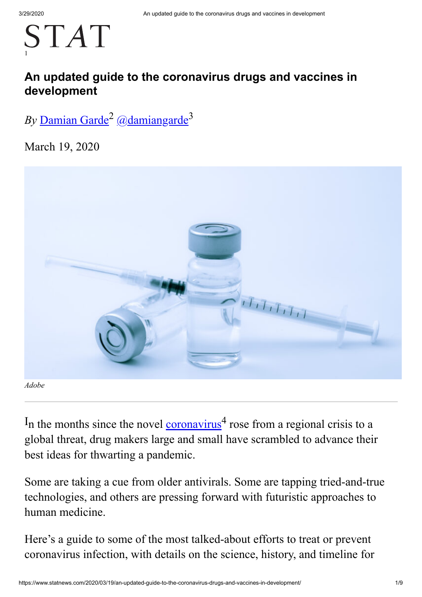

## **An updated guide to the coronavirus drugs and vaccines in development**

*By* [Damian Garde](https://www.statnews.com/staff/damian-garde/)<sup>2</sup> [@damiangarde](https://twitter.com/damiangarde)<sup>3</sup>

March 19, 2020



In the months since the novel **coronavirus**<sup>4</sup> rose from a regional crisis to a global threat, drug makers large and small have scrambled to advance their best ideas for thwarting a pandemic.

Some are taking a cue from older antivirals. Some are tapping tried-and-true technologies, and others are pressing forward with futuristic approaches to human medicine.

Here's a guide to some of the most talked-about efforts to treat or prevent coronavirus infection, with details on the science, history, and timeline for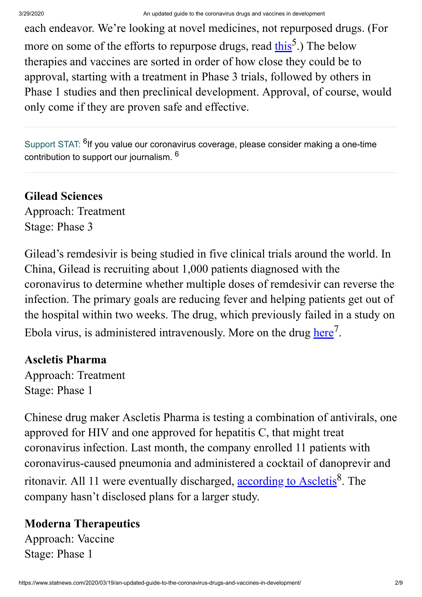each endeavor. We're looking at novel medicines, not repurposed drugs. (For more on some of the efforts to repurpose drugs, read [this](https://www.statnews.com/2020/03/18/who-to-launch-multinational-trial-to-jumpstart-search-for-coronavirus-drugs/)<sup>5</sup>.) The below therapies and vaccines are sorted in order of how close they could be to approval, starting with a treatment in Phase 3 trials, followed by others in Phase 1 studies and then preclinical development. Approval, of course, would only come if they are proven safe and effective.

[Support STAT:](https://www.statnews.com/contribute/?src=inarticle) <sup>6</sup>[If you value our coronavirus coverage, please consider making a one-time](https://www.statnews.com/contribute/?src=inarticle) contribution to support our journalism. <sup>6</sup>

**Gilead Sciences** Approach: Treatment Stage: Phase 3

Gilead's remdesivir is being studied in five clinical trials around the world. In China, Gilead is recruiting about 1,000 patients diagnosed with the coronavirus to determine whether multiple doses of remdesivir can reverse the infection. The primary goals are reducing fever and helping patients get out of the hospital within two weeks. The drug, which previously failed in a study on Ebola virus, is administered intravenously. More on the drug [here](https://www.statnews.com/2020/03/16/remdesivir-surges-ahead-against-coronavirus/)<sup>7</sup>.

## **Ascletis Pharma**

Approach: Treatment Stage: Phase 1

Chinese drug maker Ascletis Pharma is testing a combination of antivirals, one approved for HIV and one approved for hepatitis C, that might treat coronavirus infection. Last month, the company enrolled 11 patients with coronavirus-caused pneumonia and administered a cocktail of danoprevir and ritonavir. All 11 were eventually discharged, [according to Ascletis](http://ascletis.com/news_detail/172/id/348.html)<sup>8</sup>. The company hasn't disclosed plans for a larger study.

## **Moderna Therapeutics**

Approach: Vaccine Stage: Phase 1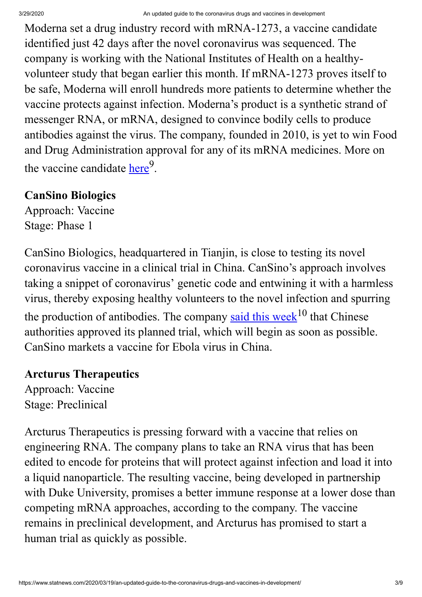#### 3/29/2020 An updated guide to the coronavirus drugs and vaccines in development

Moderna set a drug industry record with mRNA-1273, a vaccine candidate identified just 42 days after the novel coronavirus was sequenced. The company is working with the National Institutes of Health on a healthyvolunteer study that began earlier this month. If mRNA-1273 proves itself to be safe, Moderna will enroll hundreds more patients to determine whether the vaccine protects against infection. Moderna's product is a synthetic strand of messenger RNA, or mRNA, designed to convince bodily cells to produce antibodies against the virus. The company, founded in 2010, is yet to win Food and Drug Administration approval for any of its mRNA medicines. More on the vaccine candidate [here](https://www.statnews.com/2020/03/11/researchers-rush-to-start-moderna-coronavirus-vaccine-trial-without-usual-animal-testing/)<sup>9</sup>.

## **CanSino Biologics**

Approach: Vaccine Stage: Phase 1

CanSino Biologics, headquartered in Tianjin, is close to testing its novel coronavirus vaccine in a clinical trial in China. CanSino's approach involves taking a snippet of coronavirus' genetic code and entwining it with a harmless virus, thereby exposing healthy volunteers to the novel infection and spurring the production of antibodies. The company [said this week](http://www.cansinotech.com/homes/article/show/56/153.html)<sup>10</sup> that Chinese authorities approved its planned trial, which will begin as soon as possible. CanSino markets a vaccine for Ebola virus in China.

## **Arcturus Therapeutics**

Approach: Vaccine Stage: Preclinical

Arcturus Therapeutics is pressing forward with a vaccine that relies on engineering RNA. The company plans to take an RNA virus that has been edited to encode for proteins that will protect against infection and load it into a liquid nanoparticle. The resulting vaccine, being developed in partnership with Duke University, promises a better immune response at a lower dose than competing mRNA approaches, according to the company. The vaccine remains in preclinical development, and Arcturus has promised to start a human trial as quickly as possible.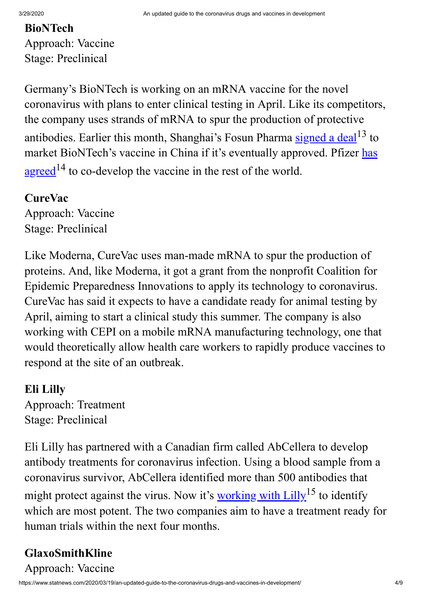## **BioNTech** Approach: Vaccine Stage: Preclinical

Germany's BioNTech is working on an mRNA vaccine for the novel coronavirus with plans to enter clinical testing in April. Like its competitors, the company uses strands of mRNA to spur the production of protective antibodies. Earlier this month, Shanghai's Fosun Pharma [signed a deal](https://investors.biontech.de/news-releases/news-release-details/biontech-and-fosun-pharma-form-covid-19-vaccine-strategic)<sup>13</sup> to [market BioNTech's vaccine in China if it's eventually approved. Pfizer has](https://investors.biontech.de/news-releases/news-release-details/pfizer-and-biontech-co-develop-potential-covid-19-vaccine) agreed<sup>14</sup> to co-develop the vaccine in the rest of the world.

## **CureVac**

Approach: Vaccine Stage: Preclinical

Like Moderna, CureVac uses man-made mRNA to spur the production of proteins. And, like Moderna, it got a grant from the nonprofit Coalition for Epidemic Preparedness Innovations to apply its technology to coronavirus. CureVac has said it expects to have a candidate ready for animal testing by April, aiming to start a clinical study this summer. The company is also working with CEPI on a mobile mRNA manufacturing technology, one that would theoretically allow health care workers to rapidly produce vaccines to respond at the site of an outbreak.

## **Eli Lilly**

Approach: Treatment Stage: Preclinical

Eli Lilly has partnered with a Canadian firm called AbCellera to develop antibody treatments for coronavirus infection. Using a blood sample from a coronavirus survivor, AbCellera identified more than 500 antibodies that might protect against the virus. Now it's <u>working with Lilly</u><sup>15</sup> to identify which are most potent. The two companies aim to have a treatment ready for human trials within the next four months.

## **GlaxoSmithKline**

Approach: Vaccine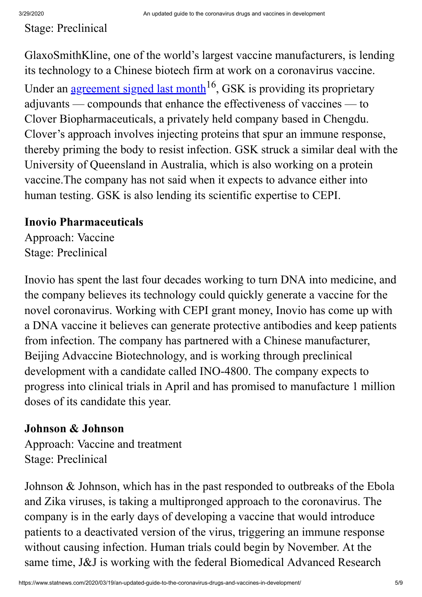#### Stage: Preclinical

GlaxoSmithKline, one of the world's largest vaccine manufacturers, is lending its technology to a Chinese biotech firm at work on a coronavirus vaccine.

Under an <u>agreement signed last month</u><sup>16</sup>, GSK is providing its proprietary adjuvants — compounds that enhance the effectiveness of vaccines — to Clover Biopharmaceuticals, a privately held company based in Chengdu. Clover's approach involves injecting proteins that spur an immune response, thereby priming the body to resist infection. GSK struck a similar deal with the University of Queensland in Australia, which is also working on a protein vaccine.The company has not said when it expects to advance either into human testing. GSK is also lending its scientific expertise to CEPI.

#### **Inovio Pharmaceuticals**

Approach: Vaccine Stage: Preclinical

Inovio has spent the last four decades working to turn DNA into medicine, and the company believes its technology could quickly generate a vaccine for the novel coronavirus. Working with CEPI grant money, Inovio has come up with a DNA vaccine it believes can generate protective antibodies and keep patients from infection. The company has partnered with a Chinese manufacturer, Beijing Advaccine Biotechnology, and is working through preclinical development with a candidate called INO-4800. The company expects to progress into clinical trials in April and has promised to manufacture 1 million doses of its candidate this year.

#### **Johnson & Johnson**

Approach: Vaccine and treatment Stage: Preclinical

Johnson & Johnson, which has in the past responded to outbreaks of the Ebola and Zika viruses, is taking a multipronged approach to the coronavirus. The company is in the early days of developing a vaccine that would introduce patients to a deactivated version of the virus, triggering an immune response without causing infection. Human trials could begin by November. At the same time, J&J is working with the federal Biomedical Advanced Research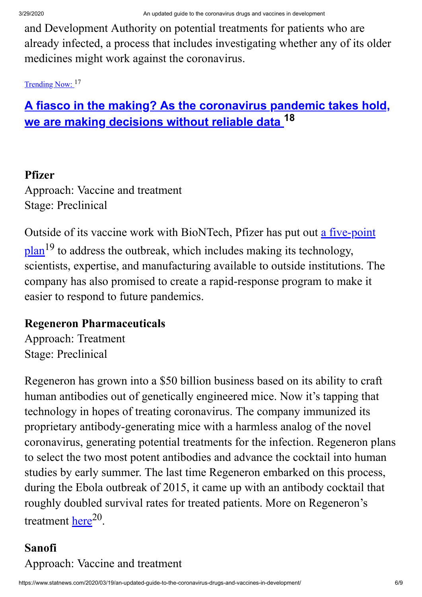and Development Authority on potential treatments for patients who are already infected, a process that includes investigating whether any of its older medicines might work against the coronavirus.

[Trending Now:](https://www.statnews.com/most-popular/) <sup>17</sup>

**[A fiasco in the making? As the coronavirus pandemic takes hold,](https://www.statnews.com/2020/03/17/a-fiasco-in-the-making-as-the-coronavirus-pandemic-takes-hold-we-are-making-decisions-without-reliable-data/) we are making decisions without reliable data <sup>18</sup>**

### **Pfizer**

Approach: Vaccine and treatment Stage: Preclinical

[Outside of its vaccine work with BioNTech, Pfizer has put out a five-point](https://www.pfizer.com/news/press-release/press-release-detail/pfizer_outlines_five_point_plan_to_battle_covid_19) plan<sup>19</sup> to address the outbreak, which includes making its technology, scientists, expertise, and manufacturing available to outside institutions. The company has also promised to create a rapid-response program to make it easier to respond to future pandemics.

## **Regeneron Pharmaceuticals**

Approach: Treatment Stage: Preclinical

Regeneron has grown into a \$50 billion business based on its ability to craft human antibodies out of genetically engineered mice. Now it's tapping that technology in hopes of treating coronavirus. The company immunized its proprietary antibody-generating mice with a harmless analog of the novel coronavirus, generating potential treatments for the infection. Regeneron plans to select the two most potent antibodies and advance the cocktail into human studies by early summer. The last time Regeneron embarked on this process, during the Ebola outbreak of 2015, it came up with an antibody cocktail that roughly doubled survival rates for treated patients. More on Regeneron's treatment [here](https://www.statnews.com/2020/02/05/in-the-race-to-develop-a-coronavirus-treatment-regeneron-thinks-it-has-the-inside-track/)<sup>20</sup>.

## **Sanofi** Approach: Vaccine and treatment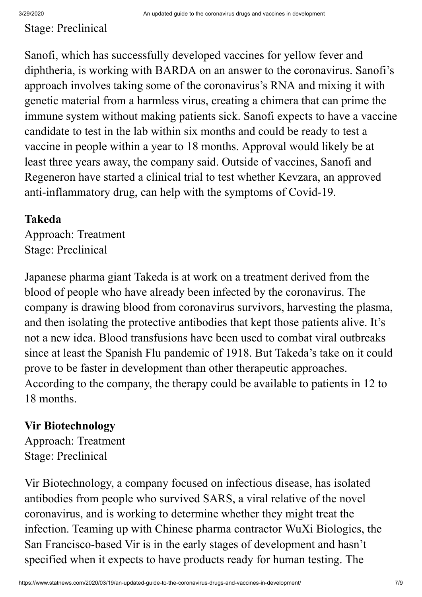#### Stage: Preclinical

Sanofi, which has successfully developed vaccines for yellow fever and diphtheria, is working with BARDA on an answer to the coronavirus. Sanofi's approach involves taking some of the coronavirus's RNA and mixing it with genetic material from a harmless virus, creating a chimera that can prime the immune system without making patients sick. Sanofi expects to have a vaccine candidate to test in the lab within six months and could be ready to test a vaccine in people within a year to 18 months. Approval would likely be at least three years away, the company said. Outside of vaccines, Sanofi and Regeneron have started a clinical trial to test whether Kevzara, an approved anti-inflammatory drug, can help with the symptoms of Covid-19.

## **Takeda**

Approach: Treatment Stage: Preclinical

Japanese pharma giant Takeda is at work on a treatment derived from the blood of people who have already been infected by the coronavirus. The company is drawing blood from coronavirus survivors, harvesting the plasma, and then isolating the protective antibodies that kept those patients alive. It's not a new idea. Blood transfusions have been used to combat viral outbreaks since at least the Spanish Flu pandemic of 1918. But Takeda's take on it could prove to be faster in development than other therapeutic approaches. According to the company, the therapy could be available to patients in 12 to 18 months.

## **Vir Biotechnology**

Approach: Treatment Stage: Preclinical

Vir Biotechnology, a company focused on infectious disease, has isolated antibodies from people who survived SARS, a viral relative of the novel coronavirus, and is working to determine whether they might treat the infection. Teaming up with Chinese pharma contractor WuXi Biologics, the San Francisco-based Vir is in the early stages of development and hasn't specified when it expects to have products ready for human testing. The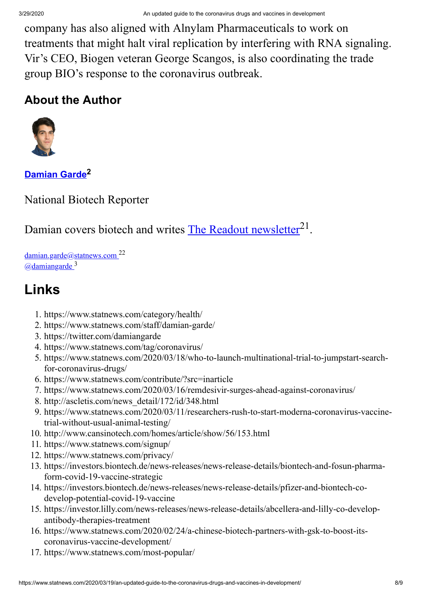company has also aligned with Alnylam Pharmaceuticals to work on treatments that might halt viral replication by interfering with RNA signaling. Vir's CEO, Biogen veteran George Scangos, is also coordinating the trade group BIO's response to the coronavirus outbreak.

## **About the Author**



**[Damian](https://www.statnews.com/staff/damian-garde/) Garde 2**

National Biotech Reporter

Damian covers biotech and writes [The Readout newsletter](https://www.statnews.com/signup/readout/)<sup>21</sup>.

 $d$ amian.garde@statnews.com<sup>22</sup> [@damiangarde](https://twitter.com/damiangarde) <sup>3</sup>

# **Links**

- 1. https://www.statnews.com/category/health/
- 2. https://www.statnews.com/staff/damian-garde/
- 3. https://twitter.com/damiangarde
- 4. https://www.statnews.com/tag/coronavirus/
- 5. https://www.statnews.com/2020/03/18/who-to-launch-multinational-trial-to-jumpstart-searchfor-coronavirus-drugs/
- 6. https://www.statnews.com/contribute/?src=inarticle
- 7. https://www.statnews.com/2020/03/16/remdesivir-surges-ahead-against-coronavirus/
- 8. http://ascletis.com/news\_detail/172/id/348.html
- 9. https://www.statnews.com/2020/03/11/researchers-rush-to-start-moderna-coronavirus-vaccinetrial-without-usual-animal-testing/
- 10. http://www.cansinotech.com/homes/article/show/56/153.html
- 11. https://www.statnews.com/signup/
- 12. https://www.statnews.com/privacy/
- 13. https://investors.biontech.de/news-releases/news-release-details/biontech-and-fosun-pharmaform-covid-19-vaccine-strategic
- 14. https://investors.biontech.de/news-releases/news-release-details/pfizer-and-biontech-codevelop-potential-covid-19-vaccine
- 15. https://investor.lilly.com/news-releases/news-release-details/abcellera-and-lilly-co-developantibody-therapies-treatment
- 16. https://www.statnews.com/2020/02/24/a-chinese-biotech-partners-with-gsk-to-boost-itscoronavirus-vaccine-development/
- 17. https://www.statnews.com/most-popular/